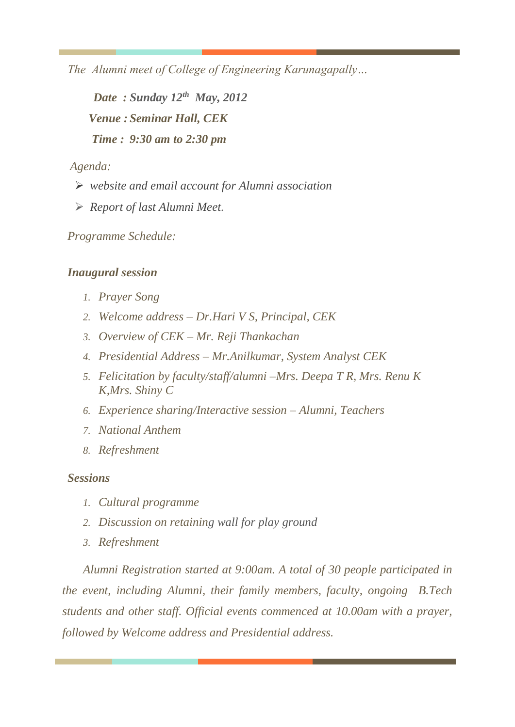*The Alumni meet of College of Engineering Karunagapally…* 

*Date : Sunday 12th May, 2012 Venue : Seminar Hall, CEK Time : 9:30 am to 2:30 pm*

*Agenda:*

- ➢ *website and email account for Alumni association*
- ➢ *Report of last Alumni Meet.*

*Programme Schedule:*

## *Inaugural session*

- *1. Prayer Song*
- *2. Welcome address – Dr.Hari V S, Principal, CEK*
- *3. Overview of CEK – Mr. Reji Thankachan*
- *4. Presidential Address – Mr.Anilkumar, System Analyst CEK*
- *5. Felicitation by faculty/staff/alumni –Mrs. Deepa T R, Mrs. Renu K K,Mrs. Shiny C*
- *6. Experience sharing/Interactive session – Alumni, Teachers*
- *7. National Anthem*
- *8. Refreshment*

## *Sessions*

- *1. Cultural programme*
- *2. Discussion on retaining wall for play ground*
- *3. Refreshment*

*Alumni Registration started at 9:00am. A total of 30 people participated in the event, including Alumni, their family members, faculty, ongoing B.Tech students and other staff. Official events commenced at 10.00am with a prayer, followed by Welcome address and Presidential address.*